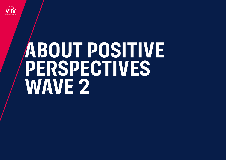

# **About Positive Perspectives Wave 2**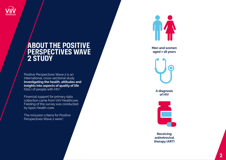

### **About the Positive PERSPECTIVES WAVE 2 Study**

Positive Perspectives Wave 2 is an international, cross-sectional study **investigating the health, attitudes and insights into aspects of quality of life**  (QoL) of people with HIV. 1

Financial support for primary data collection came from ViiV Healthcare. Fielding of the survey was conducted by Ispos Health-care.

The inclusion criteria for Positive Perspectives Wave 2 were:1



**Men and women aged ≥ 18 years**



**A diagnosis of HIV**



**Receiving antiretroviral therapy (ART)**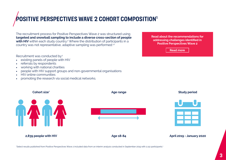# **Positive Perspectives WAVE 2 cohort composition<sup>1</sup>**

The recruitment process for Positive Perspectives Wave 2 was structured using **targeted and snowball sampling to include a diverse cross-section of people with HIV** within each study country.<sup>2</sup> Where the distribution of participants in a country was not representative, adaptive sampling was performed.<sup>1,2</sup>

Recruitment was conducted by:1

- existing panels of people with HIV
- referrals by respondents
- working with national charities
- people with HIV support groups and non-governmental organisations
- HIV online communities
- promoting the research via social medical networks.

**Read about the recommendations for addressing challenges identified in Positive Perspectives Wave 2**

**Read more** 



\*Select results published from Positive Perspectives Wave 2 included data from an interim analysis conducted in September 2019 with 2,112 participants.1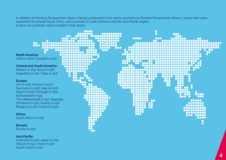In addition to Positive Perspectives Wave 2 being conducted in the same countries as Positive Perspectives Wave 1, study sites were expanded to include South Africa, and countries in Latin America and the Asia Pacific region. In total,  $25$  countries were included in the study:<sup>1</sup>



#### **Asia Pacific:**

Australia (n=120), Japan (n=75), Taiwan (n=55), China (n=50), South Korea (n=50)